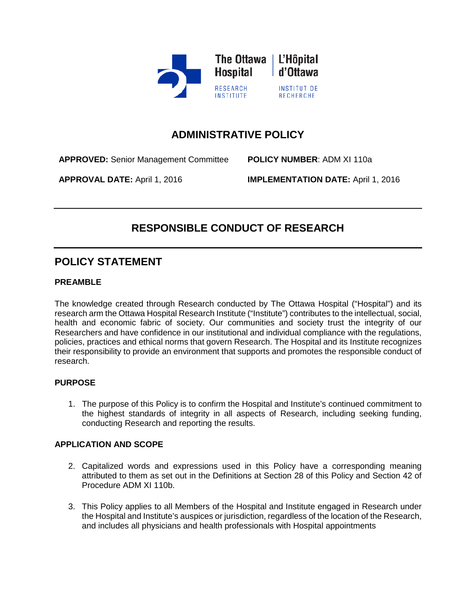

## **ADMINISTRATIVE POLICY**

**APPROVED:** Senior Management Committee **POLICY NUMBER**: ADM XI 110a

**APPROVAL DATE:** April 1, 2016 **IMPLEMENTATION DATE:** April 1, 2016

# **RESPONSIBLE CONDUCT OF RESEARCH**

## **POLICY STATEMENT**

#### **PREAMBLE**

 research arm the Ottawa Hospital Research Institute ("Institute") contributes to the intellectual, social, their responsibility to provide an environment that supports and promotes the responsible conduct of The knowledge created through Research conducted by The Ottawa Hospital ("Hospital") and its health and economic fabric of society. Our communities and society trust the integrity of our Researchers and have confidence in our institutional and individual compliance with the regulations, policies, practices and ethical norms that govern Research. The Hospital and its Institute recognizes research.

#### **PURPOSE**

 1.The purpose of this Policy is to confirm the Hospital and Institute's continued commitment to the highest standards of integrity in all aspects of Research, including seeking funding, conducting Research and reporting the results.

#### **APPLICATION AND SCOPE**

- 2.Capitalized words and expressions used in this Policy have a corresponding meaning attributed to them as set out in the Definitions at Section 28 of this Policy and Section 42 of Procedure ADM XI 110b.
- 3.This Policy applies to all Members of the Hospital and Institute engaged in Research under the Hospital and Institute's auspices or jurisdiction, regardless of the location of the Research, and includes all physicians and health professionals with Hospital appointments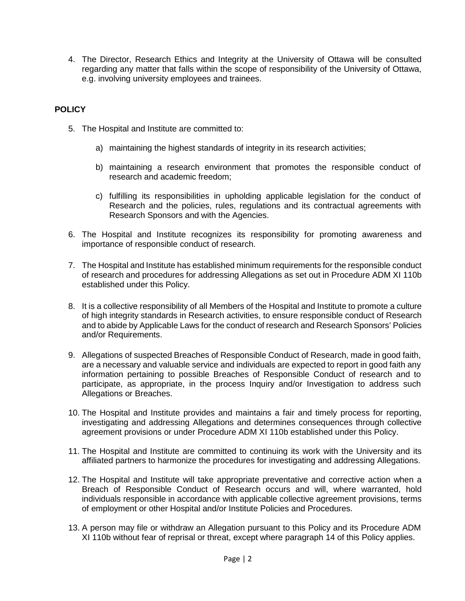4. The Director, Research Ethics and Integrity at the University of Ottawa will be consulted regarding any matter that falls within the scope of responsibility of the University of Ottawa, e.g. involving university employees and trainees.

#### **POLICY**

- 5.The Hospital and Institute are committed to:
	- maintaining the highest standards of integrity in its research activities;
	- a) maintaining the highest standards of integrity in its research activities;<br>b) maintaining a research environment that promotes the responsible conduct of research and academic freedom;
	- c) fulfilling its responsibilities in upholding applicable legislation for the conduct of Research and the policies, rules, regulations and its contractual agreements with Research Sponsors and with the Agencies.
- 6.The Hospital and Institute recognizes its responsibility for promoting awareness and importance of responsible conduct of research.
- 7.The Hospital and Institute has established minimum requirements for the responsible conduct of research and procedures for addressing Allegations as set out in Procedure ADM XI 110b established under this Policy.
- and to abide by Applicable Laws for the conduct of research and Research Sponsors' Policies 8. It is a collective responsibility of all Members of the Hospital and Institute to promote a culture of high integrity standards in Research activities, to ensure responsible conduct of Research and/or Requirements.
- are a necessary and valuable service and individuals are expected to report in good faith any participate, as appropriate, in the process Inquiry and/or Investigation to address such 9. Allegations of suspected Breaches of Responsible Conduct of Research, made in good faith, information pertaining to possible Breaches of Responsible Conduct of research and to Allegations or Breaches.
- 10. The Hospital and Institute provides and maintains a fair and timely process for reporting, investigating and addressing Allegations and determines consequences through collective agreement provisions or under Procedure ADM XI 110b established under this Policy.
- 11. The Hospital and Institute are committed to continuing its work with the University and its affiliated partners to harmonize the procedures for investigating and addressing Allegations.
- individuals responsible in accordance with applicable collective agreement provisions, terms 12. The Hospital and Institute will take appropriate preventative and corrective action when a Breach of Responsible Conduct of Research occurs and will, where warranted, hold of employment or other Hospital and/or Institute Policies and Procedures.
- XI 110b without fear of reprisal or threat, except where paragraph 14 of this Policy applies. 13. A person may file or withdraw an Allegation pursuant to this Policy and its Procedure ADM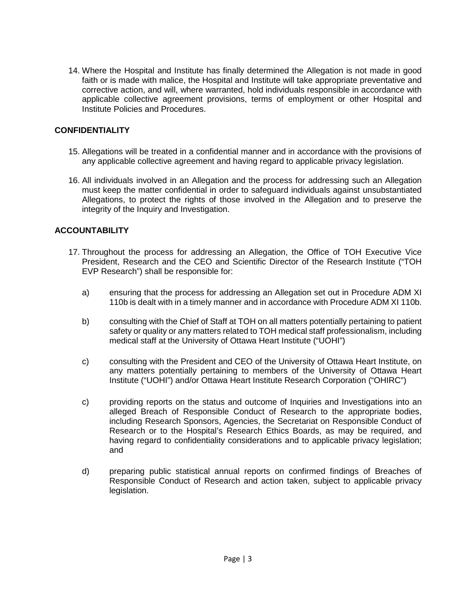corrective action, and will, where warranted, hold individuals responsible in accordance with applicable collective agreement provisions, terms of employment or other Hospital and 14. Where the Hospital and Institute has finally determined the Allegation is not made in good faith or is made with malice, the Hospital and Institute will take appropriate preventative and Institute Policies and Procedures.

#### **CONFIDENTIALITY**

- 15. Allegations will be treated in a confidential manner and in accordance with the provisions of any applicable collective agreement and having regard to applicable privacy legislation.
- 16. All individuals involved in an Allegation and the process for addressing such an Allegation Allegations, to protect the rights of those involved in the Allegation and to preserve the must keep the matter confidential in order to safeguard individuals against unsubstantiated integrity of the Inquiry and Investigation.

#### **ACCOUNTABILITY**

- 17. Throughout the process for addressing an Allegation, the Office of TOH Executive Vice President, Research and the CEO and Scientific Director of the Research Institute ("TOH EVP Research") shall be responsible for:
	- $a)$ ensuring that the process for addressing an Allegation set out in Procedure ADM XI 110b is dealt with in a timely manner and in accordance with Procedure ADM XI 110b.
	- b) consulting with the Chief of Staff at TOH on all matters potentially pertaining to patient safety or quality or any matters related to TOH medical staff professionalism, including medical staff at the University of Ottawa Heart Institute ("UOHI") b)
	- medical staff at the University of Ottawa Heart Institute ("UOHI")<br>c) consulting with the President and CEO of the University of Ottawa Heart Institute, on  $\mathsf{C}$ ) any matters potentially pertaining to members of the University of Ottawa Heart Institute ("UOHI") and/or Ottawa Heart Institute Research Corporation ("OHIRC")
	- c) providing reports on the status and outcome of Inquiries and Investigations into an including Research Sponsors, Agencies, the Secretariat on Responsible Conduct of Research or to the Hospital's Research Ethics Boards, as may be required, and  $\mathsf{C}$ ) alleged Breach of Responsible Conduct of Research to the appropriate bodies, having regard to confidentiality considerations and to applicable privacy legislation; and
	- d) preparing public statistical annual reports on confirmed findings of Breaches of d) Responsible Conduct of Research and action taken, subject to applicable privacy legislation.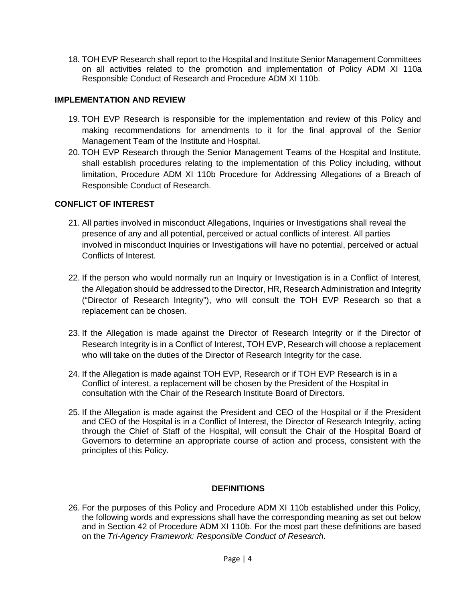18. TOH EVP Research shall report to the Hospital and Institute Senior Management Committees on all activities related to the promotion and implementation of Policy ADM XI 110a Responsible Conduct of Research and Procedure ADM XI 110b.

#### **IMPLEMENTATION AND REVIEW**

- 19. TOH EVP Research is responsible for the implementation and review of this Policy and making recommendations for amendments to it for the final approval of the Senior Management Team of the Institute and Hospital.
- limitation, Procedure ADM XI 110b Procedure for Addressing Allegations of a Breach of Responsible Conduct of Research. 20. TOH EVP Research through the Senior Management Teams of the Hospital and Institute, shall establish procedures relating to the implementation of this Policy including, without

## **CONFLICT OF INTEREST**

- presence of any and all potential, perceived or actual conflicts of interest. All parties 21. All parties involved in misconduct Allegations, Inquiries or Investigations shall reveal the involved in misconduct Inquiries or Investigations will have no potential, perceived or actual Conflicts of Interest.
- the Allegation should be addressed to the Director, HR, Research Administration and Integrity ("Director of Research Integrity"), who will consult the TOH EVP Research so that a 22. If the person who would normally run an Inquiry or Investigation is in a Conflict of Interest, replacement can be chosen.
- 23. If the Allegation is made against the Director of Research Integrity or if the Director of who will take on the duties of the Director of Research Integrity for the case. Research Integrity is in a Conflict of Interest, TOH EVP, Research will choose a replacement
- 24. If the Allegation is made against TOH EVP, Research or if TOH EVP Research is in a Conflict of interest, a replacement will be chosen by the President of the Hospital in consultation with the Chair of the Research Institute Board of Directors.
- and CEO of the Hospital is in a Conflict of Interest, the Director of Research Integrity, acting 25. If the Allegation is made against the President and CEO of the Hospital or if the President through the Chief of Staff of the Hospital, will consult the Chair of the Hospital Board of Governors to determine an appropriate course of action and process, consistent with the principles of this Policy.

#### **DEFINITIONS**

 and in Section 42 of Procedure ADM XI 110b. For the most part these definitions are based 26. For the purposes of this Policy and Procedure ADM XI 110b established under this Policy, the following words and expressions shall have the corresponding meaning as set out below on the *Tri-Agency Framework: Responsible Conduct of Research*.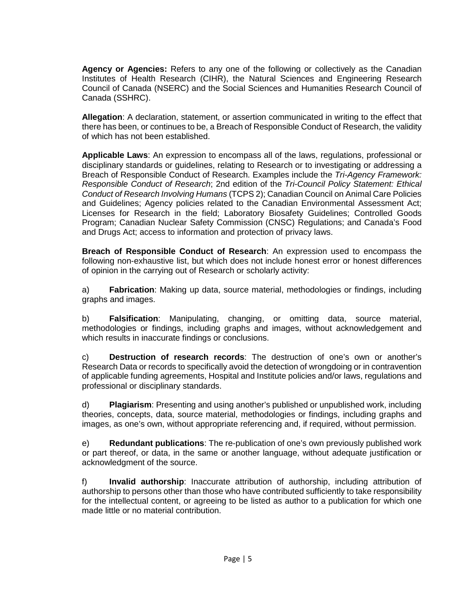Council of Canada (NSERC) and the Social Sciences and Humanities Research Council of **Agency or Agencies:** Refers to any one of the following or collectively as the Canadian Institutes of Health Research (CIHR), the Natural Sciences and Engineering Research Canada (SSHRC).

 **Allegation**: A declaration, statement, or assertion communicated in writing to the effect that there has been, or continues to be, a Breach of Responsible Conduct of Research, the validity of which has not been established.

 disciplinary standards or guidelines, relating to Research or to investigating or addressing a Breach of Responsible Conduct of Research. Examples include the *Tri-Agency Framework: Conduct of Research Involving Humans* (TCPS 2); Canadian Council on Animal Care Policies Licenses for Research in the field; Laboratory Biosafety Guidelines; Controlled Goods Program; Canadian Nuclear Safety Commission (CNSC) Regulations; and Canada's Food **Applicable Laws**: An expression to encompass all of the laws, regulations, professional or *Responsible Conduct of Research*; 2nd edition of the *Tri-Council Policy Statement: Ethical*  and Guidelines; Agency policies related to the Canadian Environmental Assessment Act; and Drugs Act; access to information and protection of privacy laws.

 **Breach of Responsible Conduct of Research**: An expression used to encompass the following non-exhaustive list, but which does not include honest error or honest differences of opinion in the carrying out of Research or scholarly activity:

 a) **Fabrication**: Making up data, source material, methodologies or findings, including graphs and images.

b) **Falsification**: Manipulating, changing, or omitting data, source material, methodologies or findings, including graphs and images, without acknowledgement and which results in inaccurate findings or conclusions.

 c) **Destruction of research records**: The destruction of one's own or another's of applicable funding agreements, Hospital and Institute policies and/or laws, regulations and Research Data or records to specifically avoid the detection of wrongdoing or in contravention professional or disciplinary standards.

 theories, concepts, data, source material, methodologies or findings, including graphs and d) **Plagiarism**: Presenting and using another's published or unpublished work, including images, as one's own, without appropriate referencing and, if required, without permission.

e) **Redundant publications**: The re-publication of one's own previously published work or part thereof, or data, in the same or another language, without adequate justification or acknowledgment of the source.

 authorship to persons other than those who have contributed sufficiently to take responsibility for the intellectual content, or agreeing to be listed as author to a publication for which one f) **Invalid authorship**: Inaccurate attribution of authorship, including attribution of made little or no material contribution.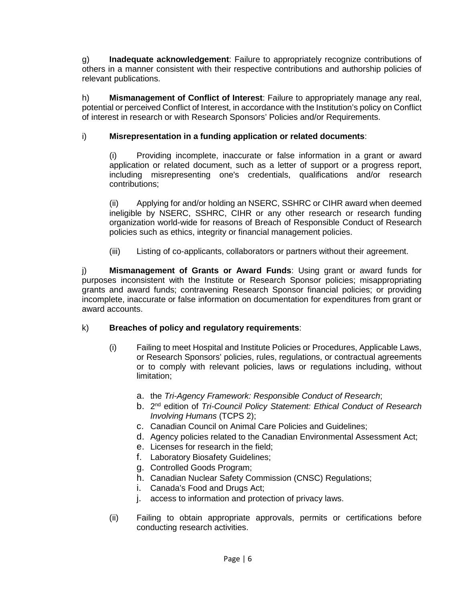g) **Inadequate acknowledgement**: Failure to appropriately recognize contributions of others in a manner consistent with their respective contributions and authorship policies of relevant publications.

 h) **Mismanagement of Conflict of Interest**: Failure to appropriately manage any real, potential or perceived Conflict of Interest, in accordance with the Institution's policy on Conflict of interest in research or with Research Sponsors' Policies and/or Requirements.

#### i) Misrepresentation in a funding application or related documents:

(i) Providing incomplete, inaccurate or false information in a grant or award application or related document, such as a letter of support or a progress report, including misrepresenting one's credentials, qualifications and/or research contributions;

(ii) Applying for and/or holding an NSERC, SSHRC or CIHR award when deemed ineligible by NSERC, SSHRC, CIHR or any other research or research funding organization world-wide for reasons of Breach of Responsible Conduct of Research policies such as ethics, integrity or financial management policies.

(iii) Listing of co-applicants, collaborators or partners without their agreement.

j) **Mismanagement of Grants or Award Funds**: Using grant or award funds for purposes inconsistent with the Institute or Research Sponsor policies; misappropriating grants and award funds; contravening Research Sponsor financial policies; or providing incomplete, inaccurate or false information on documentation for expenditures from grant or award accounts.

#### k) **Breaches of policy and regulatory requirements**:

- (i) Failing to meet Hospital and Institute Policies or Procedures, Applicable Laws, or Research Sponsors' policies, rules, regulations, or contractual agreements or to comply with relevant policies, laws or regulations including, without limitation;
	- a. the *Tri-Agency Framework: Responsible Conduct of Research*;
	- b. 2<sup>nd</sup> edition of *Tri-Council Policy Statement: Ethical Conduct of Research Involving Humans* (TCPS 2);
	- c. Canadian Council on Animal Care Policies and Guidelines;
	- d. Agency policies related to the Canadian Environmental Assessment Act;
	- e. Licenses for research in the field;
	- f. Laboratory Biosafety Guidelines;
	- g. Controlled Goods Program;
	- h. Canadian Nuclear Safety Commission (CNSC) Regulations;
	- i. Canada's Food and Drugs Act;
	- j. access to information and protection of privacy laws.
- (ii) Failing to obtain appropriate approvals, permits or certifications before conducting research activities.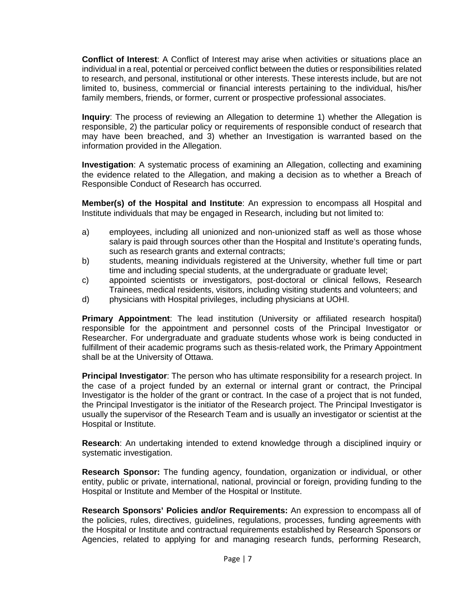**Conflict of Interest**: A Conflict of Interest may arise when activities or situations place an individual in a real, potential or perceived conflict between the duties or responsibilities related limited to, business, commercial or financial interests pertaining to the individual, his/her family members, friends, or former, current or prospective professional associates. to research, and personal, institutional or other interests. These interests include, but are not

 **Inquiry**: The process of reviewing an Allegation to determine 1) whether the Allegation is may have been breached, and 3) whether an Investigation is warranted based on the responsible, 2) the particular policy or requirements of responsible conduct of research that information provided in the Allegation.

 **Investigation**: A systematic process of examining an Allegation, collecting and examining the evidence related to the Allegation, and making a decision as to whether a Breach of Responsible Conduct of Research has occurred.

**Member(s) of the Hospital and Institute**: An expression to encompass all Hospital and Institute individuals that may be engaged in Research, including but not limited to:

- a) employees, including all unionized and non-unionized staff as well as those whose salary is paid through sources other than the Hospital and Institute's operating funds, such as research grants and external contracts;
- b) students, meaning individuals registered at the University, whether full time or part time and including special students, at the undergraduate or graduate level;
- Trainees, medical residents, visitors, including visiting students and volunteers; and c) appointed scientists or investigators, post-doctoral or clinical fellows, Research
- d) physicians with Hospital privileges, including physicians at UOHI.

 **Primary Appointment**: The lead institution (University or affiliated research hospital) responsible for the appointment and personnel costs of the Principal Investigator or Researcher. For undergraduate and graduate students whose work is being conducted in fulfillment of their academic programs such as thesis-related work, the Primary Appointment shall be at the University of Ottawa.

 Investigator is the holder of the grant or contract. In the case of a project that is not funded, the Principal Investigator is the initiator of the Research project. The Principal Investigator is Hospital or Institute. **Principal Investigator**: The person who has ultimate responsibility for a research project. In the case of a project funded by an external or internal grant or contract, the Principal usually the supervisor of the Research Team and is usually an investigator or scientist at the

 **Research**: An undertaking intended to extend knowledge through a disciplined inquiry or systematic investigation.

 entity, public or private, international, national, provincial or foreign, providing funding to the **Research Sponsor:** The funding agency, foundation, organization or individual, or other Hospital or Institute and Member of the Hospital or Institute.

 **Research Sponsors' Policies and/or Requirements:** An expression to encompass all of the policies, rules, directives, guidelines, regulations, processes, funding agreements with the Hospital or Institute and contractual requirements established by Research Sponsors or Agencies, related to applying for and managing research funds, performing Research,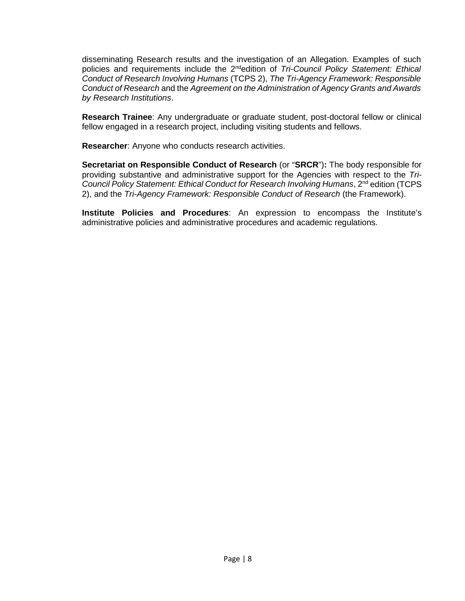*Conduct of Research* and the *Agreement on the Administration of Agency Grants and Awards*  disseminating Research results and the investigation of an Allegation. Examples of such policies and requirements include the 2<sup>nd</sup>edition of *Tri-Council Policy Statement: Ethical Conduct of Research Involving Humans* (TCPS 2), *The Tri-Agency Framework: Responsible by Research Institutions*.

 fellow engaged in a research project, including visiting students and fellows. **Research Trainee**: Any undergraduate or graduate student, post-doctoral fellow or clinical

**Researcher**: Anyone who conducts research activities.

 **Secretariat on Responsible Conduct of Research** (or "**SRCR**")**:** The body responsible for providing substantive and administrative support for the Agencies with respect to the *Tri-Council Policy Statement: Ethical Conduct for Research Involving Humans*, 2nd edition (TCPS 2), and the *Tri-Agency Framework: Responsible Conduct of Research* (the Framework).

**Institute Policies and Procedures**: An expression to encompass the Institute's administrative policies and administrative procedures and academic regulations.